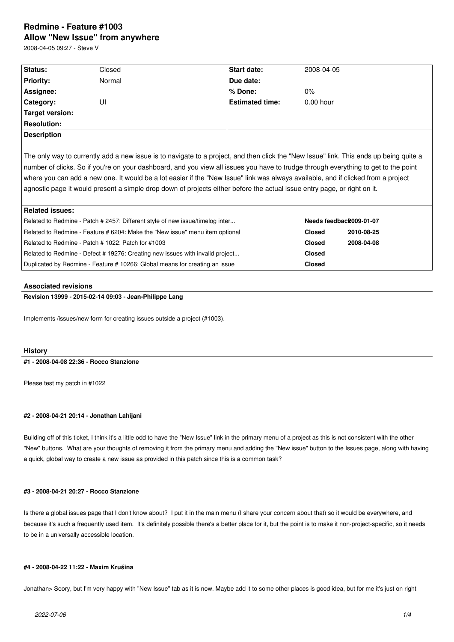# **Redmine - Feature #1003 Allow "New Issue" from anywhere**

2008-04-05 09:27 - Steve V

| Status:                                                                                                                                | Closed | <b>Start date:</b>     | 2008-04-05              |            |
|----------------------------------------------------------------------------------------------------------------------------------------|--------|------------------------|-------------------------|------------|
| <b>Priority:</b>                                                                                                                       | Normal | Due date:              |                         |            |
| Assignee:                                                                                                                              |        | % Done:                | $0\%$                   |            |
| Category:                                                                                                                              | UI     | <b>Estimated time:</b> | $0.00$ hour             |            |
| <b>Target version:</b>                                                                                                                 |        |                        |                         |            |
| <b>Resolution:</b>                                                                                                                     |        |                        |                         |            |
| <b>Description</b>                                                                                                                     |        |                        |                         |            |
|                                                                                                                                        |        |                        |                         |            |
| The only way to currently add a new issue is to navigate to a project, and then click the "New Issue" link. This ends up being quite a |        |                        |                         |            |
| number of clicks. So if you're on your dashboard, and you view all issues you have to trudge through everything to get to the point    |        |                        |                         |            |
| where you can add a new one. It would be a lot easier if the "New Issue" link was always available, and if clicked from a project      |        |                        |                         |            |
| agnostic page it would present a simple drop down of projects either before the actual issue entry page, or right on it.               |        |                        |                         |            |
|                                                                                                                                        |        |                        |                         |            |
| <b>Related issues:</b>                                                                                                                 |        |                        |                         |            |
| Related to Redmine - Patch # 2457: Different style of new issue/timelog inter                                                          |        |                        | Needs feedback009-01-07 |            |
| Related to Redmine - Feature # 6204: Make the "New issue" menu item optional                                                           |        |                        | <b>Closed</b>           | 2010-08-25 |
| Related to Redmine - Patch # 1022: Patch for #1003                                                                                     |        |                        | <b>Closed</b>           | 2008-04-08 |
| Related to Redmine - Defect #19276: Creating new issues with invalid project                                                           |        |                        | <b>Closed</b>           |            |
| Duplicated by Redmine - Feature # 10266: Global means for creating an issue                                                            |        |                        | <b>Closed</b>           |            |
|                                                                                                                                        |        |                        |                         |            |

### **Associated revisions**

**Revision 13999 - 2015-02-14 09:03 - Jean-Philippe Lang**

Implements /issues/new form for creating issues outside a project (#1003).

## **History**

**#1 - 2008-04-08 22:36 - Rocco Stanzione**

Please test my patch in #1022

### **#2 - 2008-04-21 20:14 - Jonathan Lahijani**

Building off of this ticket, I think it's a little odd to have the "New Issue" link in the primary menu of a project as this is not consistent with the other "New" buttons. What are your thoughts of removing it from the primary menu and adding the "New issue" button to the Issues page, along with having a quick, global way to create a new issue as provided in this patch since this is a common task?

### **#3 - 2008-04-21 20:27 - Rocco Stanzione**

Is there a global issues page that I don't know about? I put it in the main menu (I share your concern about that) so it would be everywhere, and because it's such a frequently used item. It's definitely possible there's a better place for it, but the point is to make it non-project-specific, so it needs to be in a universally accessible location.

#### **#4 - 2008-04-22 11:22 - Maxim Krušina**

Jonathan> Soory, but I'm very happy with "New Issue" tab as it is now. Maybe add it to some other places is good idea, but for me it's just on right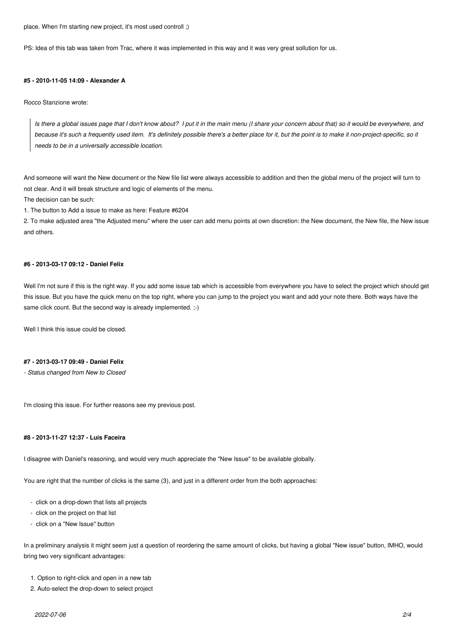place. When I'm starting new project, it's most used controll ;)

PS: Idea of this tab was taken from Trac, where it was implemented in this way and it was very great sollution for us.

### **#5 - 2010-11-05 14:09 - Alexander A**

Rocco Stanzione wrote:

*Is there a global issues page that I don't know about? I put it in the main menu (I share your concern about that) so it would be everywhere, and because it's such a frequently used item. It's definitely possible there's a better place for it, but the point is to make it non-project-specific, so it needs to be in a universally accessible location.*

And someone will want the New document or the New file list were always accessible to addition and then the global menu of the project will turn to not clear. And it will break structure and logic of elements of the menu.

The decision can be such:

1. The button to Add a issue to make as here: Feature #6204

2. To make adjusted area "the Adjusted menu" where the user can add menu points at own discretion: the New document, the New file, the New issue and others.

## **#6 - 2013-03-17 09:12 - Daniel Felix**

Well I'm not sure if this is the right way. If you add some issue tab which is accessible from everywhere you have to select the project which should get this issue. But you have the quick menu on the top right, where you can jump to the project you want and add your note there. Both ways have the same click count. But the second way is already implemented.  $;$ -)

Well I think this issue could be closed.

#### **#7 - 2013-03-17 09:49 - Daniel Felix**

*- Status changed from New to Closed*

I'm closing this issue. For further reasons see my previous post.

## **#8 - 2013-11-27 12:37 - Luís Faceira**

I disagree with Daniel's reasoning, and would very much appreciate the "New Issue" to be available globally.

You are right that the number of clicks is the same (3), and just in a different order from the both approaches:

- click on a drop-down that lists all projects
- click on the project on that list
- click on a "New Issue" button

In a preliminary analysis it might seem just a question of reordering the same amount of clicks, but having a global "New issue" button, IMHO, would bring two very significant advantages:

- 1. Option to right-click and open in a new tab
- 2. Auto-select the drop-down to select project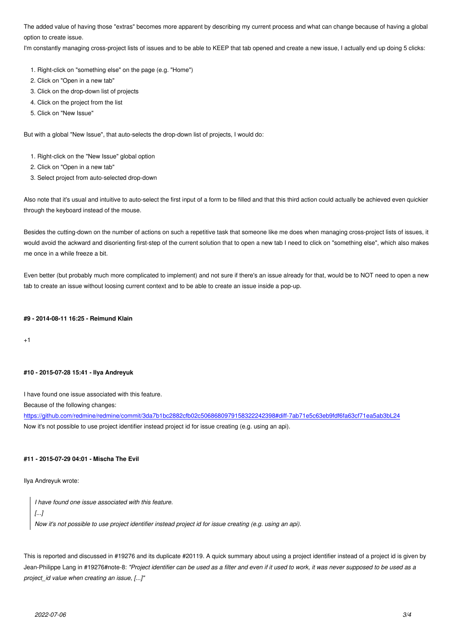option to create issue.

I'm constantly managing cross-project lists of issues and to be able to KEEP that tab opened and create a new issue, I actually end up doing 5 clicks:

- 1. Right-click on "something else" on the page (e.g. "Home")
- 2. Click on "Open in a new tab"
- 3. Click on the drop-down list of projects
- 4. Click on the project from the list
- 5. Click on "New Issue"

But with a global "New Issue", that auto-selects the drop-down list of projects, I would do:

- 1. Right-click on the "New Issue" global option
- 2. Click on "Open in a new tab"
- 3. Select project from auto-selected drop-down

Also note that it's usual and intuitive to auto-select the first input of a form to be filled and that this third action could actually be achieved even quickier through the keyboard instead of the mouse.

Besides the cutting-down on the number of actions on such a repetitive task that someone like me does when managing cross-project lists of issues, it would avoid the ackward and disorienting first-step of the current solution that to open a new tab I need to click on "something else", which also makes me once in a while freeze a bit.

Even better (but probably much more complicated to implement) and not sure if there's an issue already for that, would be to NOT need to open a new tab to create an issue without loosing current context and to be able to create an issue inside a pop-up.

#### **#9 - 2014-08-11 16:25 - Reimund Klain**

+1

#### **#10 - 2015-07-28 15:41 - Ilya Andreyuk**

I have found one issue associated with this feature.

Because of the following changes:

https://github.com/redmine/redmine/commit/3da7b1bc2882cfb02c5068680979158322242398#diff-7ab71e5c63eb9fdf6fa63cf71ea5ab3bL24 Now it's not possible to use project identifier instead project id for issue creating (e.g. using an api).

#### **[#11 - 2015-07-29 04:01 - Mischa The Evil](https://github.com/redmine/redmine/commit/3da7b1bc2882cfb02c5068680979158322242398#diff-7ab71e5c63eb9fdf6fa63cf71ea5ab3bL24)**

Ilya Andreyuk wrote:

*I have found one issue associated with this feature. [...] Now it's not possible to use project identifier instead project id for issue creating (e.g. using an api).*

This is reported and discussed in #19276 and its duplicate #20119. A quick summary about using a project identifier instead of a project id is given by Jean-Philippe Lang in #19276#note-8: *"Project identifier can be used as a filter and even if it used to work, it was never supposed to be used as a project\_id value when creating an issue, [...]"*